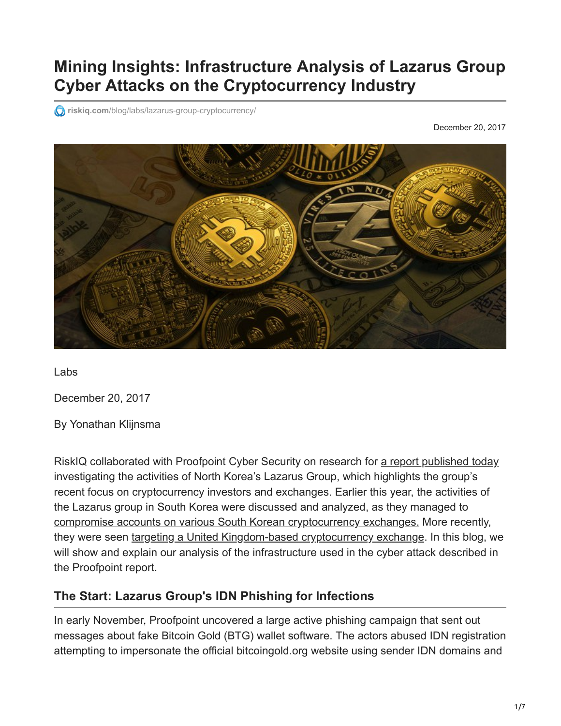# **Mining Insights: Infrastructure Analysis of Lazarus Group Cyber Attacks on the Cryptocurrency Industry**

*O* riskiq.com[/blog/labs/lazarus-group-cryptocurrency/](https://www.riskiq.com/blog/labs/lazarus-group-cryptocurrency/)

December 20, 2017



Labs

December 20, 2017

By Yonathan Klijnsma

RiskIQ collaborated with Proofpoint Cyber Security on research for [a report published today](https://www.proofpoint.com/us/threat-insight/post/north-korea-bitten-bitcoin-bug-financially-motivated-campaigns-reveal-new) investigating the activities of North Korea's Lazarus Group, which highlights the group's recent focus on cryptocurrency investors and exchanges. Earlier this year, the activities of the Lazarus group in South Korea were discussed and analyzed, as they managed to [compromise accounts on various South Korean cryptocurrency exchanges.](https://www.coindesk.com/report-north-korea-targets-south-koreas-bitcoin-exchanges-cyber-attacks/) More recently, they were seen [targeting a United Kingdom-based cryptocurrency exchange.](http://securityaffairs.co/wordpress/66780/apt/lazarus-apt-cryptocurrency.html) In this blog, we will show and explain our analysis of the infrastructure used in the cyber attack described in the Proofpoint report.

#### **The Start: Lazarus Group's IDN Phishing for Infections**

In early November, Proofpoint uncovered a large active phishing campaign that sent out messages about fake Bitcoin Gold (BTG) wallet software. The actors abused IDN registration attempting to impersonate the official bitcoingold.org website using sender IDN domains and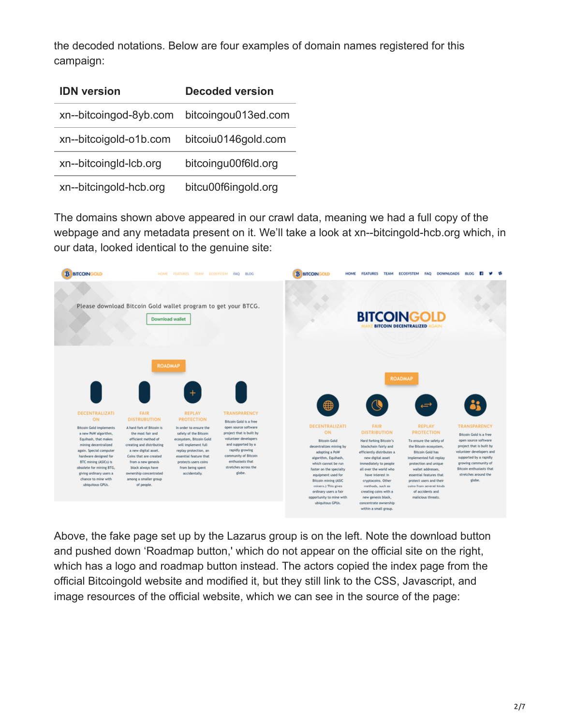the decoded notations. Below are four examples of domain names registered for this campaign:

| <b>IDN</b> version     | <b>Decoded version</b> |  |  |  |
|------------------------|------------------------|--|--|--|
| xn--bitcoingod-8yb.com | bitcoingou013ed.com    |  |  |  |
| xn--bitcoigold-o1b.com | bitcoiu0146gold.com    |  |  |  |
| xn--bitcoingId-Icb.org | bitcoingu00f6ld.org    |  |  |  |
| xn--bitcingold-hcb.org | bitcu00f6ingold.org    |  |  |  |

The domains shown above appeared in our crawl data, meaning we had a full copy of the webpage and any metadata present on it. We'll take a look at xn--bitcingold-hcb.org which, in our data, looked identical to the genuine site:



Above, the fake page set up by the Lazarus group is on the left. Note the download button and pushed down 'Roadmap button,' which do not appear on the official site on the right, which has a logo and roadmap button instead. The actors copied the index page from the official Bitcoingold website and modified it, but they still link to the CSS, Javascript, and image resources of the official website, which we can see in the source of the page: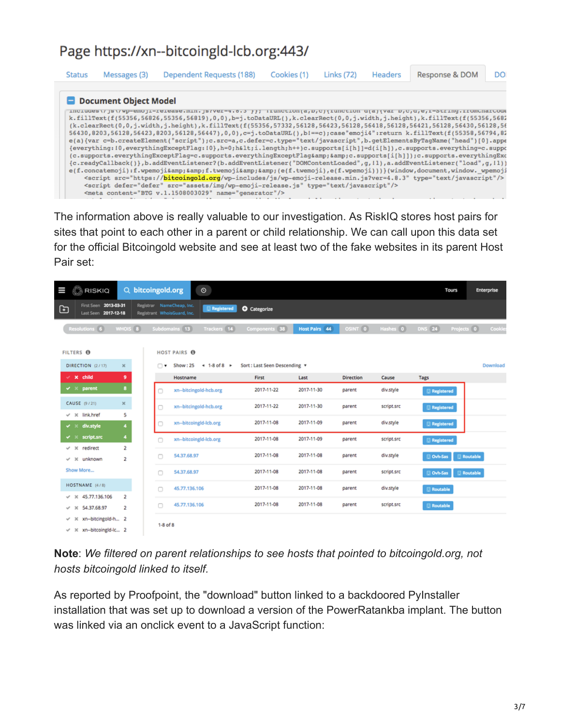# Page https://xn--bitcoingld-lcb.org:443/

| <b>Status</b> | Messages (3)          | Dependent Requests (188)                                                                                                                                                                                                                                                                                                                                                                                                                                                                                                                                                                                                                                                                                                                                                                                                                                                                                                                                                                                                                                                                                                                                                                                                                                                                                                                                                                                                                                                           | Cookies (1) | Links (72) | Headers | Response & DOM | DO |
|---------------|-----------------------|------------------------------------------------------------------------------------------------------------------------------------------------------------------------------------------------------------------------------------------------------------------------------------------------------------------------------------------------------------------------------------------------------------------------------------------------------------------------------------------------------------------------------------------------------------------------------------------------------------------------------------------------------------------------------------------------------------------------------------------------------------------------------------------------------------------------------------------------------------------------------------------------------------------------------------------------------------------------------------------------------------------------------------------------------------------------------------------------------------------------------------------------------------------------------------------------------------------------------------------------------------------------------------------------------------------------------------------------------------------------------------------------------------------------------------------------------------------------------------|-------------|------------|---------|----------------|----|
|               | Document Object Model | includes\/js\/wp-emoji-release.min.js/ver-+.0.3 }}; ifunction(a,D,C){function d(a){var D,C,d,e,I-String.fromCharCode<br>k.fillText(f(55356,56826,55356,56819),0,0),b=j.toDataURL(),k.clearRect(0,0,j.width,j.height),k.fillText(f(55356,5682<br>(k.clearRect(0,0,j.width,j.height),k.fillText(f(55356,57332,56128,56423,56128,56418,56128,56421,56128,56430,56128,56<br>56430,8203,56128,56423,8203,56128,56447),0,0),c=j.toDataURL(),bl==c);case"emoji4":return k.fillText(f(55358,56794,82<br>e(a){var c=b.createElement("script");c.src=a,c.defer=c.type="text/javascript",b.getElementsByTagName("head")[0].appe<br>{everything:10,everythingExceptFlaq:10},h=0;h <i.length;h++)c.supports[i[h]]=d(i[h]),c.supports.everything=c.suppo<br>(c.supports.everythinqExceptFlaq=c.supports.everythinqExceptFlaq&amp;&amp;c.supports[i[h]]);c.supports.everythinqExc<br/>{c.readyCallback()},b.addEventListener?(b.addEventListener("DOMContentLoaded",q,ll),a.addEventListener("load",q,ll))<br/>e(f.concatemoji):f.wpemoji&amp;&amp;f.twemoji&amp;&amp;(e(f.twemoji),e(f.wpemoji)))}(window,document,window.wpemoji<br/><script src="https://bitcoingold.org/wp-includes/js/wp-emoji-release.min.js?ver=4.8.3" type="text/javascript"></script><br/><script defer="defer" src="assets/img/wp-emoji-release.js" type="text/javascript"></script><br/><meta content="BTG v.1.1508003029" name="generator"/></i.length;h++)c.supports[i[h]]=d(i[h]),c.supports.everything=c.suppo<br> |             |            |         |                |    |

The information above is really valuable to our investigation. As RiskIQ stores host pairs for sites that point to each other in a parent or child relationship. We can call upon this data set for the official Bitcoingold website and see at least two of the fake websites in its parent Host Pair set:

| © RISKIQ<br>Ш                                                                      | Q bitcoingold.org<br>$\circ$                                                  |                              |                      |                  |            | Tours                       | Enterprise |
|------------------------------------------------------------------------------------|-------------------------------------------------------------------------------|------------------------------|----------------------|------------------|------------|-----------------------------|------------|
| First Seen 2013-03-31<br>⊡<br>Last Seen 2017-12-18                                 | Registrar NameCheap, Inc.<br><b>Registered</b><br>Registrant WhoisGuard, Inc. | <b>O</b> Categorize          |                      |                  |            |                             |            |
| Resolutions 6<br>WHOIS <sub>8</sub>                                                | Subdomains 13<br>Trackers 14                                                  | Components 38                | <b>Host Pairs 44</b> | OSINT 0          | Hashes 0   | <b>DNS</b> 24<br>Projects 0 | Cookie     |
| FILTERS <sup>O</sup>                                                               | <b>HOST PAIRS ®</b>                                                           |                              |                      |                  |            |                             |            |
| DIRECTION (2/17)<br>$\mathbf{x}$                                                   | $+1-8$ of 8 $+$<br>Show: 25<br>⊓▼                                             | Sort: Last Seen Descending v |                      |                  |            |                             | Download   |
| $\times$ x child<br>9                                                              | Hostname                                                                      | First                        | Last                 | <b>Direction</b> | Cause      | Tags                        |            |
| 8<br>v ×<br>parent                                                                 | xn--bitcingold-hcb.org                                                        | 2017-11-22                   | 2017-11-30           | parent           | div.style  | Registered                  |            |
| $\mathbb X$<br>CAUSE (9/21)                                                        | xn--bitcingold-hcb.org<br>n                                                   | 2017-11-22                   | 2017-11-30           | parent           | script.src | Registered                  |            |
| 5<br>$\times$ $\times$ link.href<br>div.style<br>4<br>✔ ≍                          | xn--bitcoingld-lcb.org<br>n                                                   | 2017-11-08                   | 2017-11-09           | parent           | div.style  | Registered                  |            |
| 4<br>$\checkmark$ $\times$ script.src                                              | xn--bitcoingld-lcb.org<br>O                                                   | 2017-11-08                   | 2017-11-09           | parent           | script.src | Registered                  |            |
| 2<br>$\times$ $\times$ redirect<br>$\overline{2}$<br>$\checkmark$ $\times$ unknown | 54,37,68,97<br>$\Box$                                                         | 2017-11-08                   | 2017-11-08           | parent           | div.style  | <b>D</b> Ovh-Sas            | Routable   |
| Show More                                                                          | 54,37,68,97<br>$\Box$                                                         | 2017-11-08                   | 2017-11-08           | parent           | script.src | Ovh-Sas                     | Routable   |
| HOSTNAME (4/8)                                                                     | 45.77.136.106<br>□                                                            | 2017-11-08                   | 2017-11-08           | parent           | div.style  | Routable                    |            |
| $V \times 45.77.136.106$<br>2<br>$×$ $×$ 54.37.68.97<br>$\overline{c}$             | 45.77.136.106<br>n                                                            | 2017-11-08                   | 2017-11-08           | parent           | script.src | Routable                    |            |
| $\checkmark$ $\times$ xn-bitcingold-h 2<br>v x xn-bitcoingId-Ic 2                  | $1-8$ of $8$                                                                  |                              |                      |                  |            |                             |            |

**Note**: *We filtered on parent relationships to see hosts that pointed to bitcoingold.org, not hosts bitcoingold linked to itself.*

As reported by Proofpoint, the "download" button linked to a backdoored PyInstaller installation that was set up to download a version of the PowerRatankba implant. The button was linked via an onclick event to a JavaScript function: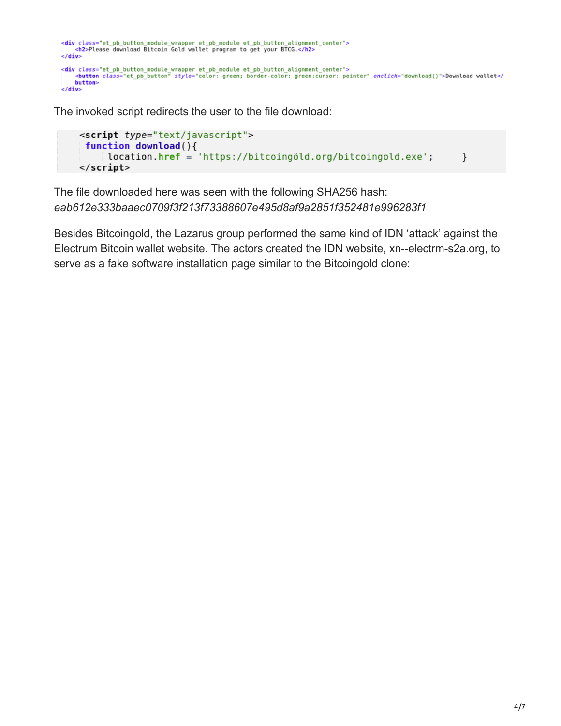```
<div class="et_pb_button_module_wrapper_et_pb_module_et_pb_button_alignment_center"><br><h2>Please_download_Bitcoin_Gold_wallet_program_to_get_your_BTCG.</h2>
\frac{1}{\sqrt{dy}}<div class="et_pb_button_module_wrapper_et_pb_module_et_pb_button_alignment_center"><br><br/>button_class="et_pb_button"_style="color:_green;_border-color:_green;cursor:_pointer"_onclick="download()">Download_wallet</
       button>
\le/div>
```
The invoked script redirects the user to the file download:

```
<script type="text/javascript">
 function download(){
     location.href = 'https://bitcoingöld.org/bitcoingold.exe';
                                                                         \mathcal{F}</script>
```
The file downloaded here was seen with the following SHA256 hash: *eab612e333baaec0709f3f213f73388607e495d8af9a2851f352481e996283f1*

Besides Bitcoingold, the Lazarus group performed the same kind of IDN 'attack' against the Electrum Bitcoin wallet website. The actors created the IDN website, xn--electrm-s2a.org, to serve as a fake software installation page similar to the Bitcoingold clone: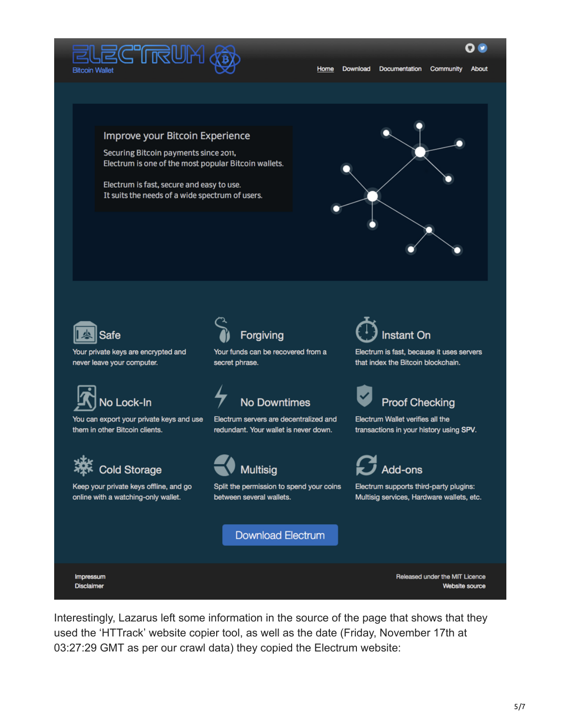

0 Q

#### Improve your Bitcoin Experience

Securing Bitcoin payments since 2011, Electrum is one of the most popular Bitcoin wallets.

Electrum is fast, secure and easy to use. It suits the needs of a wide spectrum of users.





Your private keys are encrypted and never leave your computer.



You can export your private keys and use them in other Bitcoin clients.



Keep your private keys offline, and go online with a watching-only wallet.



Your funds can be recovered from a secret phrase.

# **No Downtimes**

Electrum servers are decentralized and redundant. Your wallet is never down.



Split the permission to spend your coins between several wallets.

**Download Electrum** 



Electrum is fast, because it uses servers that index the Bitcoin blockchain.



Electrum Wallet verifies all the transactions in your history using SPV.



Electrum supports third-party plugins: Multisig services, Hardware wallets, etc.

Impressum **Disclaimer** 

Released under the MIT Licence Website source

Interestingly, Lazarus left some information in the source of the page that shows that they used the 'HTTrack' website copier tool, as well as the date (Friday, November 17th at 03:27:29 GMT as per our crawl data) they copied the Electrum website: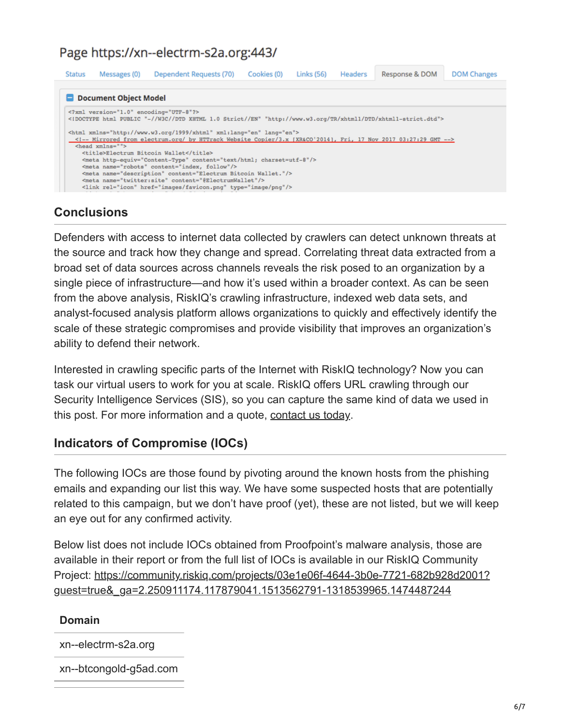## Page https://xn--electrm-s2a.org:443/

| <b>Status</b>                                                                                                                                                                                                                                                                                                                                                                                                    | Messages (0) | Dependent Requests (70) | Cookies (0) | Links (56) | Headers | Response & DOM | <b>DOM Changes</b> |  |
|------------------------------------------------------------------------------------------------------------------------------------------------------------------------------------------------------------------------------------------------------------------------------------------------------------------------------------------------------------------------------------------------------------------|--------------|-------------------------|-------------|------------|---------|----------------|--------------------|--|
| Document Object Model<br>xml version="1.0" encoding="UTF-8"?<br>html PUBLIC "-//W3C//DTD XHTML 1.0 Strict//EN" "http://www.w3.org/TR/xhtml1/DTD/xhtml1-strict.dtd"                                                                                                                                                                                                                                               |              |                         |             |            |         |                |                    |  |
| <html lang="en" xml:lang="en" xmlns="http://www.w3.org/1999/xhtml"><br/>&lt;1-- Mirrored from electrum.org/ by HTTrack Website Copier/3.x [XR&amp;CO'2014], Fri, 17 Nov 2017 03:27:29 GMT --&gt;<br/><head xmlns=""></head></html>                                                                                                                                                                               |              |                         |             |            |         |                |                    |  |
| <title>Electrum Bitcoin Wallet</title><br><meta content="text/html; charset=utf-8" http-equiv="Content-Type"/><br><meta content="index, follow" name="robots"/><br><meta content="Electrum Bitcoin Wallet." name="description"/><br><meta_name="twitter:site"_content="\$electrumwallet"></meta_name="twitter:site"_content="\$electrumwallet"><br><link href="images/favicon.png" rel="icon" type="image/png"/> |              |                         |             |            |         |                |                    |  |

## **Conclusions**

Defenders with access to internet data collected by crawlers can detect unknown threats at the source and track how they change and spread. Correlating threat data extracted from a broad set of data sources across channels reveals the risk posed to an organization by a single piece of infrastructure—and how it's used within a broader context. As can be seen from the above analysis, RiskIQ's crawling infrastructure, indexed web data sets, and analyst-focused analysis platform allows organizations to quickly and effectively identify the scale of these strategic compromises and provide visibility that improves an organization's ability to defend their network.

Interested in crawling specific parts of the Internet with RiskIQ technology? Now you can task our virtual users to work for you at scale. RiskIQ offers URL crawling through our Security Intelligence Services (SIS), so you can capture the same kind of data we used in this post. For more information and a quote, [contact us today](https://www.riskiq.com/contact/).

## **Indicators of Compromise (IOCs)**

The following IOCs are those found by pivoting around the known hosts from the phishing emails and expanding our list this way. We have some suspected hosts that are potentially related to this campaign, but we don't have proof (yet), these are not listed, but we will keep an eye out for any confirmed activity.

Below list does not include IOCs obtained from Proofpoint's malware analysis, those are available in their report or from the full list of IOCs is available in our RiskIQ Community [Project: https://community.riskiq.com/projects/03e1e06f-4644-3b0e-7721-682b928d2001?](https://community.riskiq.com/projects/03e1e06f-4644-3b0e-7721-682b928d2001?guest=true&_ga=2.250911174.117879041.1513562791-1318539965.1474487244) guest=true&\_ga=2.250911174.117879041.1513562791-1318539965.1474487244

#### **Domain**

xn--electrm-s2a.org

xn--btcongold-g5ad.com